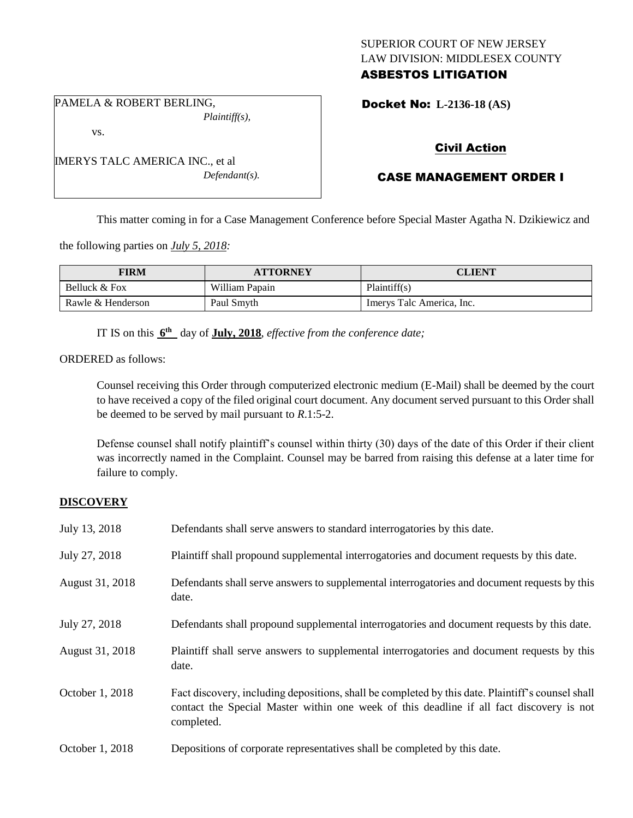## SUPERIOR COURT OF NEW JERSEY LAW DIVISION: MIDDLESEX COUNTY ASBESTOS LITIGATION

PAMELA & ROBERT BERLING, *Plaintiff(s),*

vs.

IMERYS TALC AMERICA INC., et al *Defendant(s).* Docket No: **L-2136-18 (AS)** 

# Civil Action

## CASE MANAGEMENT ORDER I

This matter coming in for a Case Management Conference before Special Master Agatha N. Dzikiewicz and

the following parties on *July 5, 2018:*

| FIRM              | <b>ATTORNEY</b> | CLIENT                    |
|-------------------|-----------------|---------------------------|
| Belluck & Fox     | William Papain  | Plaintiff(s)              |
| Rawle & Henderson | Paul Smyth      | Imervs Talc America, Inc. |

IT IS on this  $6^{\text{th}}$  day of **July, 2018**, *effective from the conference date*;

ORDERED as follows:

Counsel receiving this Order through computerized electronic medium (E-Mail) shall be deemed by the court to have received a copy of the filed original court document. Any document served pursuant to this Order shall be deemed to be served by mail pursuant to *R*.1:5-2.

Defense counsel shall notify plaintiff's counsel within thirty (30) days of the date of this Order if their client was incorrectly named in the Complaint. Counsel may be barred from raising this defense at a later time for failure to comply.

## **DISCOVERY**

| July 13, 2018   | Defendants shall serve answers to standard interrogatories by this date.                                                                                                                                    |
|-----------------|-------------------------------------------------------------------------------------------------------------------------------------------------------------------------------------------------------------|
| July 27, 2018   | Plaintiff shall propound supplemental interrogatories and document requests by this date.                                                                                                                   |
| August 31, 2018 | Defendants shall serve answers to supplemental interrogatories and document requests by this<br>date.                                                                                                       |
| July 27, 2018   | Defendants shall propound supplemental interrogatories and document requests by this date.                                                                                                                  |
| August 31, 2018 | Plaintiff shall serve answers to supplemental interrogatories and document requests by this<br>date.                                                                                                        |
| October 1, 2018 | Fact discovery, including depositions, shall be completed by this date. Plaintiff's counsel shall<br>contact the Special Master within one week of this deadline if all fact discovery is not<br>completed. |
| October 1, 2018 | Depositions of corporate representatives shall be completed by this date.                                                                                                                                   |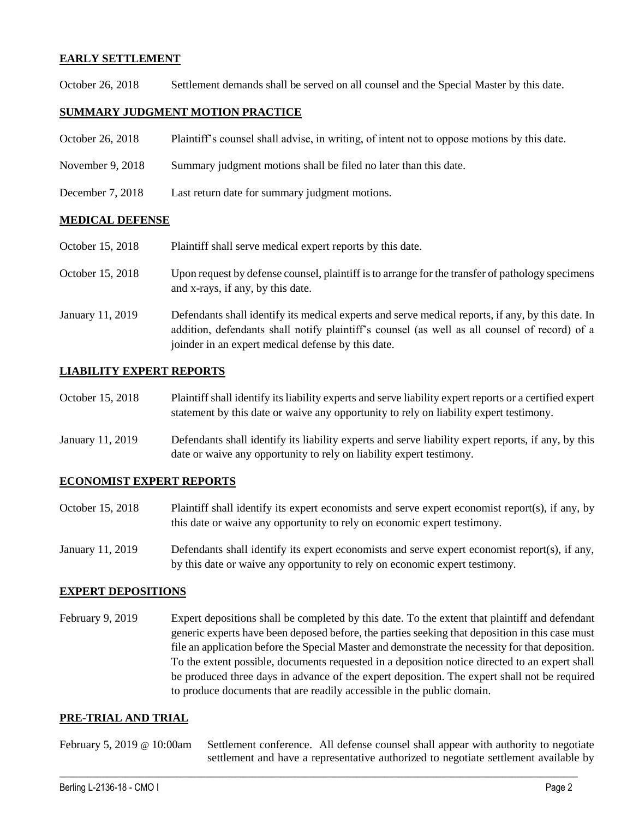### **EARLY SETTLEMENT**

October 26, 2018 Settlement demands shall be served on all counsel and the Special Master by this date.

## **SUMMARY JUDGMENT MOTION PRACTICE**

| October 26, 2018 | Plaintiff's counsel shall advise, in writing, of intent not to oppose motions by this date. |  |  |  |  |
|------------------|---------------------------------------------------------------------------------------------|--|--|--|--|
|------------------|---------------------------------------------------------------------------------------------|--|--|--|--|

- November 9, 2018 Summary judgment motions shall be filed no later than this date.
- December 7, 2018 Last return date for summary judgment motions.

#### **MEDICAL DEFENSE**

October 15, 2018 Plaintiff shall serve medical expert reports by this date.

- October 15, 2018 Upon request by defense counsel, plaintiff is to arrange for the transfer of pathology specimens and x-rays, if any, by this date.
- January 11, 2019 Defendants shall identify its medical experts and serve medical reports, if any, by this date. In addition, defendants shall notify plaintiff's counsel (as well as all counsel of record) of a joinder in an expert medical defense by this date.

### **LIABILITY EXPERT REPORTS**

| October 15, 2018 | Plaintiff shall identify its liability experts and serve liability expert reports or a certified expert |
|------------------|---------------------------------------------------------------------------------------------------------|
|                  | statement by this date or waive any opportunity to rely on liability expert testimony.                  |

January 11, 2019 Defendants shall identify its liability experts and serve liability expert reports, if any, by this date or waive any opportunity to rely on liability expert testimony.

#### **ECONOMIST EXPERT REPORTS**

- October 15, 2018 Plaintiff shall identify its expert economists and serve expert economist report(s), if any, by this date or waive any opportunity to rely on economic expert testimony.
- January 11, 2019 Defendants shall identify its expert economists and serve expert economist report(s), if any, by this date or waive any opportunity to rely on economic expert testimony.

#### **EXPERT DEPOSITIONS**

February 9, 2019 Expert depositions shall be completed by this date. To the extent that plaintiff and defendant generic experts have been deposed before, the parties seeking that deposition in this case must file an application before the Special Master and demonstrate the necessity for that deposition. To the extent possible, documents requested in a deposition notice directed to an expert shall be produced three days in advance of the expert deposition. The expert shall not be required to produce documents that are readily accessible in the public domain.

#### **PRE-TRIAL AND TRIAL**

February 5, 2019 @ 10:00am Settlement conference. All defense counsel shall appear with authority to negotiate settlement and have a representative authorized to negotiate settlement available by

 $\_$  ,  $\_$  ,  $\_$  ,  $\_$  ,  $\_$  ,  $\_$  ,  $\_$  ,  $\_$  ,  $\_$  ,  $\_$  ,  $\_$  ,  $\_$  ,  $\_$  ,  $\_$  ,  $\_$  ,  $\_$  ,  $\_$  ,  $\_$  ,  $\_$  ,  $\_$  ,  $\_$  ,  $\_$  ,  $\_$  ,  $\_$  ,  $\_$  ,  $\_$  ,  $\_$  ,  $\_$  ,  $\_$  ,  $\_$  ,  $\_$  ,  $\_$  ,  $\_$  ,  $\_$  ,  $\_$  ,  $\_$  ,  $\_$  ,